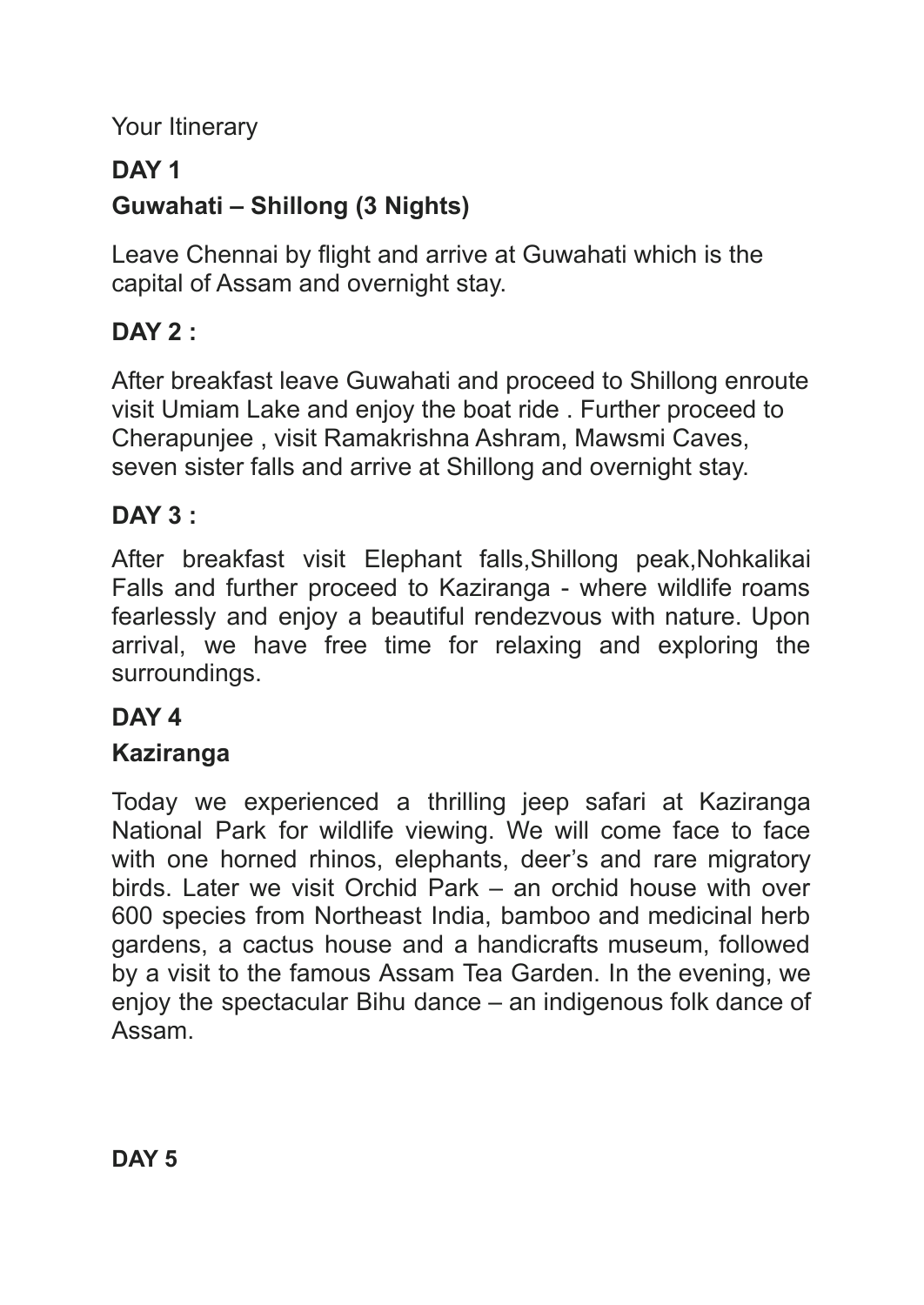Your Itinerary

## **DAY 1**

## **Guwahati – Shillong (3 Nights)**

Leave Chennai by flight and arrive at Guwahati which is the capital of Assam and overnight stay.

## **DAY 2 :**

After breakfast leave Guwahati and proceed to Shillong enroute visit Umiam Lake and enjoy the boat ride . Further proceed to Cherapunjee , visit Ramakrishna Ashram, Mawsmi Caves, seven sister falls and arrive at Shillong and overnight stay.

### **DAY 3 :**

After breakfast visit Elephant falls,Shillong peak,Nohkalikai Falls and further proceed to Kaziranga - where wildlife roams fearlessly and enjoy a beautiful rendezvous with nature. Upon arrival, we have free time for relaxing and exploring the surroundings.

#### **DAY 4**

## **Kaziranga**

Today we experienced a thrilling jeep safari at Kaziranga National Park for wildlife viewing. We will come face to face with one horned rhinos, elephants, deer's and rare migratory birds. Later we visit Orchid Park – an orchid house with over 600 species from Northeast India, bamboo and medicinal herb gardens, a cactus house and a handicrafts museum, followed by a visit to the famous Assam Tea Garden. In the evening, we enjoy the spectacular Bihu dance – an indigenous folk dance of Assam.